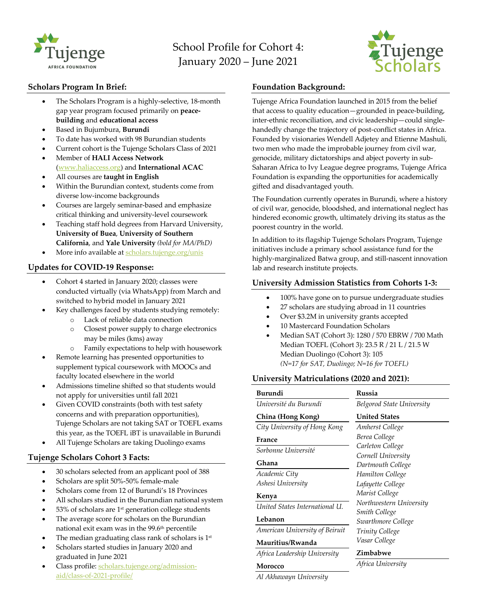

# School Profile for Cohort 4: January 2020 – June 2021



## **Scholars Program In Brief:**

- The Scholars Program is a highly-selective, 18-month gap year program focused primarily on **peacebuilding** and **educational access**
- Based in Bujumbura, **Burundi**
- To date has worked with 98 Burundian students
- Current cohort is the Tujenge Scholars Class of 2021
- Member of **HALI Access Network** (www.haliaccess.org) and **International ACAC**
- All courses are **taught in English**
- Within the Burundian context, students come from diverse low-income backgrounds
- Courses are largely seminar-based and emphasize critical thinking and university-level coursework
- Teaching staff hold degrees from Harvard University, **University of Buea**, **University of Southern California**, and **Yale University** *(bold for MA/PhD)*
- More info available at scholars.tujenge.org/unis

# **Updates for COVID-19 Response:**

- Cohort 4 started in January 2020; classes were conducted virtually (via WhatsApp) from March and switched to hybrid model in January 2021
- Key challenges faced by students studying remotely:
	- o Lack of reliable data connection
	- o Closest power supply to charge electronics may be miles (kms) away
	- o Family expectations to help with housework
- Remote learning has presented opportunities to supplement typical coursework with MOOCs and faculty located elsewhere in the world
- Admissions timeline shifted so that students would not apply for universities until fall 2021
- Given COVID constraints (both with test safety concerns and with preparation opportunities), Tujenge Scholars are not taking SAT or TOEFL exams this year, as the TOEFL iBT is unavailable in Burundi
- All Tujenge Scholars are taking Duolingo exams

# **Tujenge Scholars Cohort 3 Facts:**

- 30 scholars selected from an applicant pool of 388
- Scholars are split 50%-50% female-male
- Scholars come from 12 of Burundi's 18 Provinces
- All scholars studied in the Burundian national system
- 53% of scholars are 1<sup>st</sup> generation college students
- The average score for scholars on the Burundian national exit exam was in the 99.6<sup>th</sup> percentile
- The median graduating class rank of scholars is 1<sup>st</sup>
- Scholars started studies in January 2020 and graduated in June 2021
- Class profile: scholars.tujenge.org/admissionaid/class-of-2021-profile/

## **Foundation Background:**

Tujenge Africa Foundation launched in 2015 from the belief that access to quality education—grounded in peace-building, inter-ethnic reconciliation, and civic leadership—could singlehandedly change the trajectory of post-conflict states in Africa. Founded by visionaries Wendell Adjetey and Etienne Mashuli, two men who made the improbable journey from civil war, genocide, military dictatorships and abject poverty in sub-Saharan Africa to Ivy League degree programs, Tujenge Africa Foundation is expanding the opportunities for academically gifted and disadvantaged youth.

The Foundation currently operates in Burundi, where a history of civil war, genocide, bloodshed, and international neglect has hindered economic growth, ultimately driving its status as the poorest country in the world.

In addition to its flagship Tujenge Scholars Program, Tujenge initiatives include a primary school assistance fund for the highly-marginalized Batwa group, and still-nascent innovation lab and research institute projects.

# **University Admission Statistics from Cohorts 1-3:**

- 100% have gone on to pursue undergraduate studies
- 27 scholars are studying abroad in 11 countries
- Over \$3.2M in university grants accepted
- 10 Mastercard Foundation Scholars
- Median SAT (Cohort 3): 1280 / 570 EBRW / 700 Math Median TOEFL (Cohort 3): 23.5 R / 21 L / 21.5 W Median Duolingo (Cohort 3): 105 *(N=17 for SAT, Duolingo; N=16 for TOEFL)*

# **University Matriculations (2020 and 2021):**

| Burundi                        | Russia<br>Belgorod State University<br><b>United States</b> |  |  |  |
|--------------------------------|-------------------------------------------------------------|--|--|--|
| Université du Burundi          |                                                             |  |  |  |
| China (Hong Kong)              |                                                             |  |  |  |
| City University of Hong Kong   | Amherst College                                             |  |  |  |
| France                         | Berea College                                               |  |  |  |
| Sorbonne Université            | Carleton College                                            |  |  |  |
|                                | Cornell University                                          |  |  |  |
| Ghana                          | Dartmouth College                                           |  |  |  |
| Academic City                  | Hamilton College                                            |  |  |  |
| Ashesi University              | Lafayette College                                           |  |  |  |
| Kenya                          | Marist College                                              |  |  |  |
| United States International U. | Northwestern University                                     |  |  |  |
|                                | <b>Smith College</b>                                        |  |  |  |
| Lebanon                        | Swarthmore College                                          |  |  |  |
| American University of Beiruit | <b>Trinity College</b>                                      |  |  |  |
| Mauritius/Rwanda               | Vasar College                                               |  |  |  |
| Africa Leadership University   | Zimbabwe                                                    |  |  |  |
| Maracco                        | Africa University                                           |  |  |  |

**Morocco**

*Al Akhawayn University*